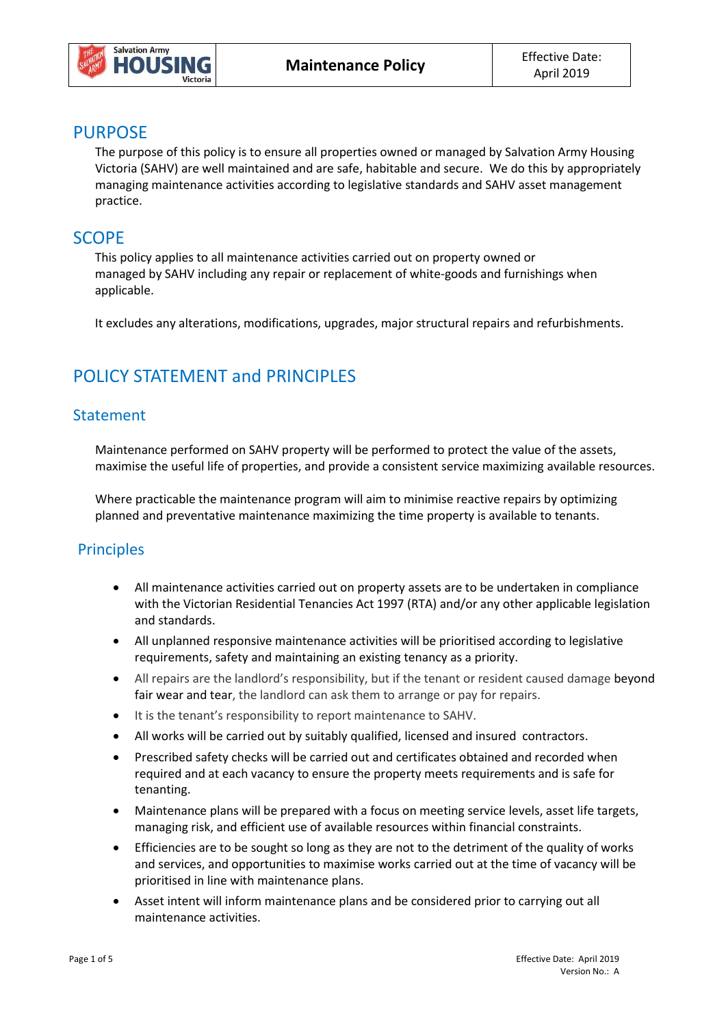

## **PURPOSE**

The purpose of this policy is to ensure all properties owned or managed by Salvation Army Housing Victoria (SAHV) are well maintained and are safe, habitable and secure. We do this by appropriately managing maintenance activities according to legislative standards and SAHV asset management practice.

## **SCOPE**

This policy applies to all maintenance activities carried out on property owned or managed by SAHV including any repair or replacement of white-goods and furnishings when applicable.

It excludes any alterations, modifications, upgrades, major structural repairs and refurbishments.

# POLICY STATEMENT and PRINCIPLES

### Statement

Maintenance performed on SAHV property will be performed to protect the value of the assets, maximise the useful life of properties, and provide a consistent service maximizing available resources.

Where practicable the maintenance program will aim to minimise reactive repairs by optimizing planned and preventative maintenance maximizing the time property is available to tenants.

## **Principles**

- All maintenance activities carried out on property assets are to be undertaken in compliance with the Victorian Residential Tenancies Act 1997 (RTA) and/or any other applicable legislation and standards.
- All unplanned responsive maintenance activities will be prioritised according to legislative requirements, safety and maintaining an existing tenancy as a priority.
- All repairs are the landlord's responsibility, but if the tenant or resident caused damage beyond fair wear and tear, the landlord can ask them to arrange or pay for repairs.
- It is the tenant's responsibility to report maintenance to SAHV.
- All works will be carried out by suitably qualified, licensed and insured contractors.
- Prescribed safety checks will be carried out and certificates obtained and recorded when required and at each vacancy to ensure the property meets requirements and is safe for tenanting.
- Maintenance plans will be prepared with a focus on meeting service levels, asset life targets, managing risk, and efficient use of available resources within financial constraints.
- Efficiencies are to be sought so long as they are not to the detriment of the quality of works and services, and opportunities to maximise works carried out at the time of vacancy will be prioritised in line with maintenance plans.
- Asset intent will inform maintenance plans and be considered prior to carrying out all maintenance activities.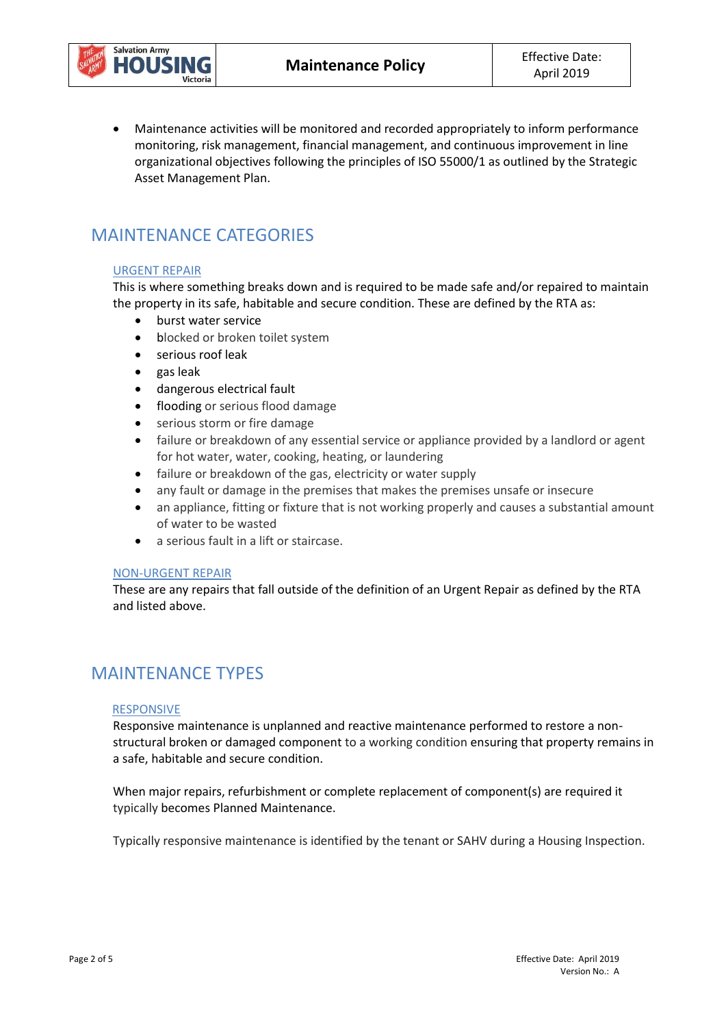



 Maintenance activities will be monitored and recorded appropriately to inform performance monitoring, risk management, financial management, and continuous improvement in line organizational objectives following the principles of ISO 55000/1 as outlined by the Strategic Asset Management Plan.

# MAINTENANCE CATEGORIES

### URGENT REPAIR

This is where something breaks down and is required to be made safe and/or repaired to maintain the property in its safe, habitable and secure condition. These are defined by the RTA as:

- burst water service
- blocked or broken toilet system
- serious roof leak
- gas leak
- dangerous electrical fault
- flooding or serious flood damage
- serious storm or fire damage
- failure or breakdown of any essential service or appliance provided by a landlord or agent for hot water, water, cooking, heating, or laundering
- failure or breakdown of the gas, electricity or water supply
- any fault or damage in the premises that makes the premises unsafe or insecure
- an appliance, fitting or fixture that is not working properly and causes a substantial amount of water to be wasted
- a serious fault in a lift or staircase.

#### NON-URGENT REPAIR

These are any repairs that fall outside of the definition of an Urgent Repair as defined by the RTA and listed above.

## MAINTENANCE TYPES

#### RESPONSIVE

Responsive maintenance is unplanned and reactive maintenance performed to restore a nonstructural broken or damaged component to a working condition ensuring that property remains in a safe, habitable and secure condition.

When major repairs, refurbishment or complete replacement of component(s) are required it typically becomes Planned Maintenance.

Typically responsive maintenance is identified by the tenant or SAHV during a Housing Inspection.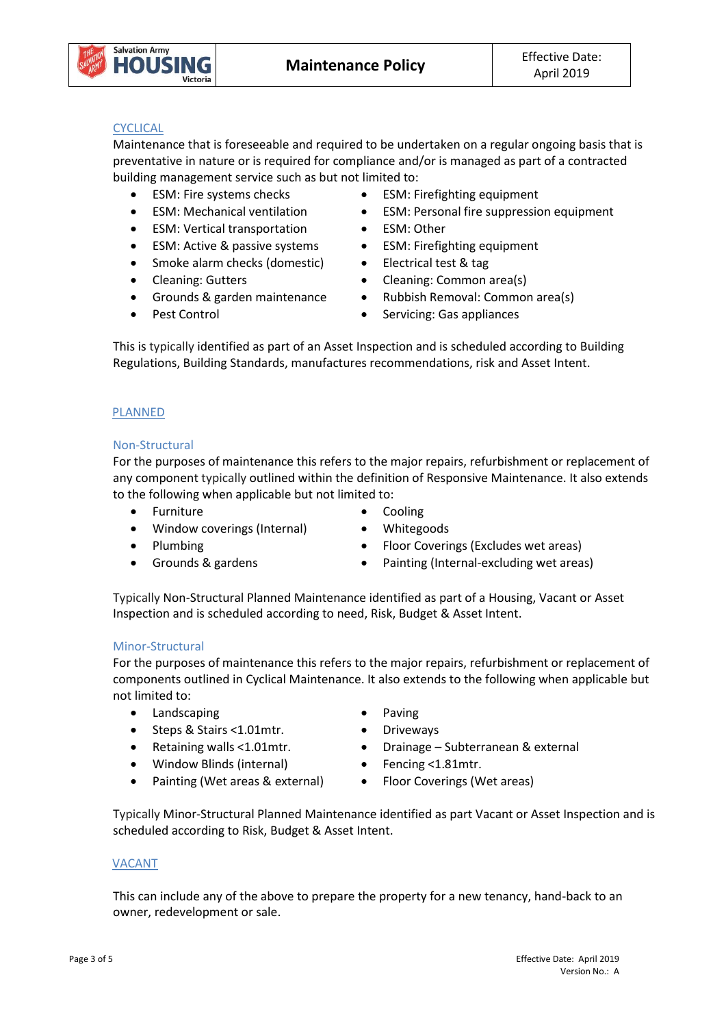

### **CYCLICAL**

Maintenance that is foreseeable and required to be undertaken on a regular ongoing basis that is preventative in nature or is required for compliance and/or is managed as part of a contracted building management service such as but not limited to:

- 
- 
- ESM: Vertical transportation ESM: Other
- ESM: Active & passive systems ESM: Firefighting equipment
- Smoke alarm checks (domestic) Electrical test & tag
- 
- 
- 
- ESM: Fire systems checks ESM: Firefighting equipment
- ESM: Mechanical ventilation ESM: Personal fire suppression equipment
	-
	-
	-
- Cleaning: Gutters Cleaning: Common area(s)
- Grounds & garden maintenance Rubbish Removal: Common area(s)
- Pest Control **Canadian Control Casage Servicing: Gas appliances**

This is typically identified as part of an Asset Inspection and is scheduled according to Building Regulations, Building Standards, manufactures recommendations, risk and Asset Intent.

### PLANNED

### Non-Structural

For the purposes of maintenance this refers to the major repairs, refurbishment or replacement of any component typically outlined within the definition of Responsive Maintenance. It also extends to the following when applicable but not limited to:

- Furniture Cooling
- Window coverings (Internal) Whitegoods
- -
- 
- Plumbing **•** Floor Coverings (Excludes wet areas)
- 
- 
- Grounds & gardens Painting (Internal-excluding wet areas)

Typically Non-Structural Planned Maintenance identified as part of a Housing, Vacant or Asset Inspection and is scheduled according to need, Risk, Budget & Asset Intent.

#### Minor-Structural

For the purposes of maintenance this refers to the major repairs, refurbishment or replacement of components outlined in Cyclical Maintenance. It also extends to the following when applicable but not limited to:

- Landscaping **Canadian Canadian Canadian Canadian Canadian Canadian Canadian Canadian Canadian Canadian Canadian Canadian Canadian Canadian Canadian Canadian Canadian Canadian Canadian Canadian Canadian Canadian Canadian**
- Steps & Stairs <1.01mtr. Driveways
- 
- Window Blinds (internal) Fencing <1.81mtr.
- Painting (Wet areas & external) Floor Coverings (Wet areas)
- 
- 
- Retaining walls <1.01mtr. Drainage Subterranean & external
	-
	-

Typically Minor-Structural Planned Maintenance identified as part Vacant or Asset Inspection and is scheduled according to Risk, Budget & Asset Intent.

#### VACANT

This can include any of the above to prepare the property for a new tenancy, hand-back to an owner, redevelopment or sale.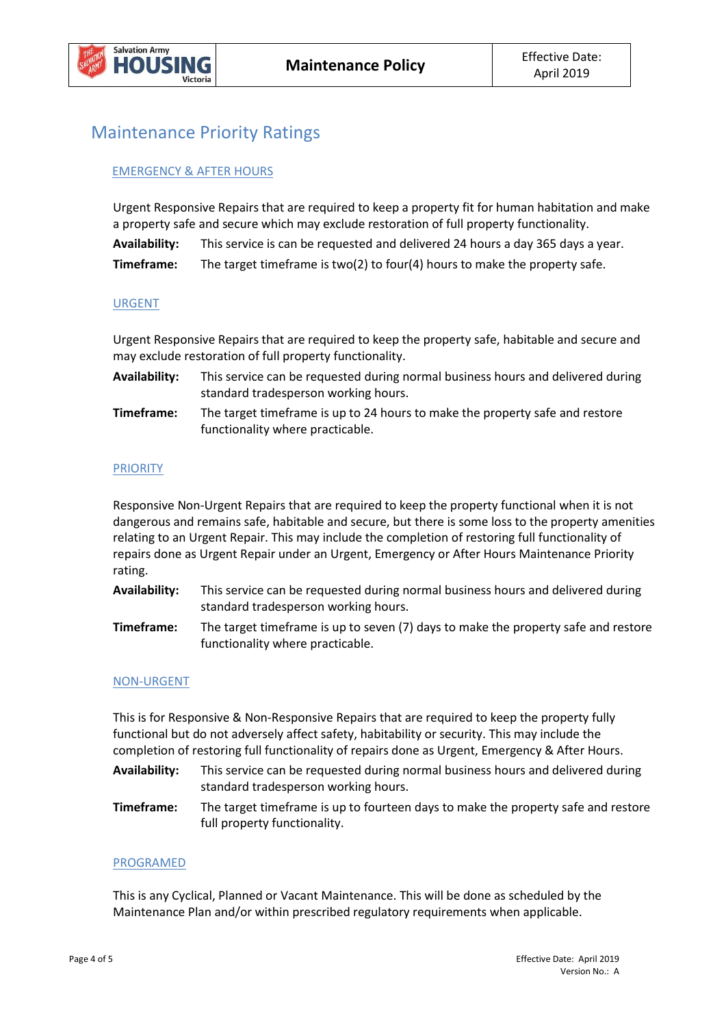

## Maintenance Priority Ratings

### EMERGENCY & AFTER HOURS

Urgent Responsive Repairs that are required to keep a property fit for human habitation and make a property safe and secure which may exclude restoration of full property functionality.

| Availability: | This service is can be requested and delivered 24 hours a day 365 days a year. |
|---------------|--------------------------------------------------------------------------------|
| Timeframe:    | The target timeframe is two(2) to four(4) hours to make the property safe.     |

#### URGENT

Urgent Responsive Repairs that are required to keep the property safe, habitable and secure and may exclude restoration of full property functionality.

| <b>Availability:</b> | This service can be requested during normal business hours and delivered during |
|----------------------|---------------------------------------------------------------------------------|
|                      | standard tradesperson working hours.                                            |

**Timeframe:** The target timeframe is up to 24 hours to make the property safe and restore functionality where practicable.

#### PRIORITY

Responsive Non-Urgent Repairs that are required to keep the property functional when it is not dangerous and remains safe, habitable and secure, but there is some loss to the property amenities relating to an Urgent Repair. This may include the completion of restoring full functionality of repairs done as Urgent Repair under an Urgent, Emergency or After Hours Maintenance Priority rating.

- **Availability:** This service can be requested during normal business hours and delivered during standard tradesperson working hours.
- **Timeframe:** The target timeframe is up to seven (7) days to make the property safe and restore functionality where practicable.

#### NON-URGENT

This is for Responsive & Non-Responsive Repairs that are required to keep the property fully functional but do not adversely affect safety, habitability or security. This may include the completion of restoring full functionality of repairs done as Urgent, Emergency & After Hours.

- **Availability:** This service can be requested during normal business hours and delivered during standard tradesperson working hours.
- **Timeframe:** The target timeframe is up to fourteen days to make the property safe and restore full property functionality.

#### PROGRAMED

This is any Cyclical, Planned or Vacant Maintenance. This will be done as scheduled by the Maintenance Plan and/or within prescribed regulatory requirements when applicable.